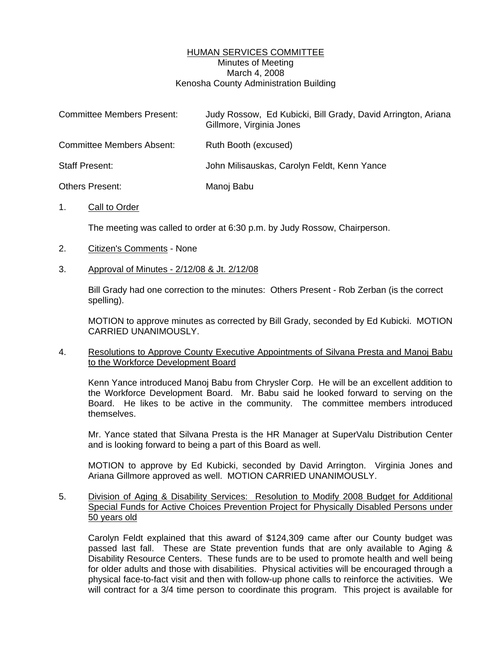# HUMAN SERVICES COMMITTEE Minutes of Meeting March 4, 2008 Kenosha County Administration Building

| <b>Committee Members Present:</b> | Judy Rossow, Ed Kubicki, Bill Grady, David Arrington, Ariana<br>Gillmore, Virginia Jones |
|-----------------------------------|------------------------------------------------------------------------------------------|
| <b>Committee Members Absent:</b>  | Ruth Booth (excused)                                                                     |
| <b>Staff Present:</b>             | John Milisauskas, Carolyn Feldt, Kenn Yance                                              |
| Others Present:                   | Manoj Babu                                                                               |

## 1. Call to Order

The meeting was called to order at 6:30 p.m. by Judy Rossow, Chairperson.

## 2. Citizen's Comments - None

#### 3. Approval of Minutes - 2/12/08 & Jt. 2/12/08

 Bill Grady had one correction to the minutes: Others Present - Rob Zerban (is the correct spelling).

 MOTION to approve minutes as corrected by Bill Grady, seconded by Ed Kubicki. MOTION CARRIED UNANIMOUSLY.

#### 4. Resolutions to Approve County Executive Appointments of Silvana Presta and Manoj Babu to the Workforce Development Board

 Kenn Yance introduced Manoj Babu from Chrysler Corp. He will be an excellent addition to the Workforce Development Board. Mr. Babu said he looked forward to serving on the Board. He likes to be active in the community. The committee members introduced themselves.

 Mr. Yance stated that Silvana Presta is the HR Manager at SuperValu Distribution Center and is looking forward to being a part of this Board as well.

MOTION to approve by Ed Kubicki, seconded by David Arrington. Virginia Jones and Ariana Gillmore approved as well. MOTION CARRIED UNANIMOUSLY.

## 5. Division of Aging & Disability Services: Resolution to Modify 2008 Budget for Additional Special Funds for Active Choices Prevention Project for Physically Disabled Persons under 50 years old

 Carolyn Feldt explained that this award of \$124,309 came after our County budget was passed last fall. These are State prevention funds that are only available to Aging & Disability Resource Centers. These funds are to be used to promote health and well being for older adults and those with disabilities. Physical activities will be encouraged through a physical face-to-fact visit and then with follow-up phone calls to reinforce the activities. We will contract for a 3/4 time person to coordinate this program. This project is available for